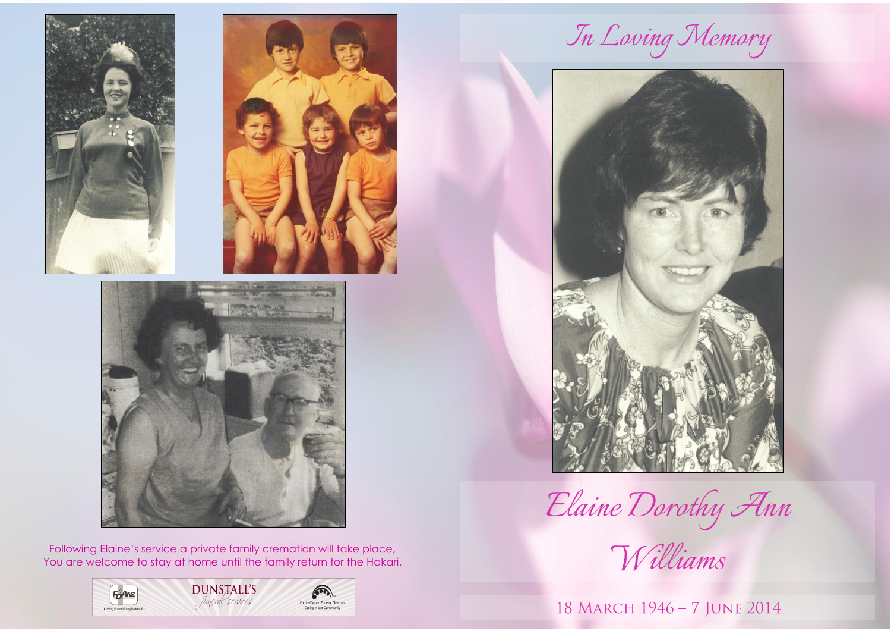



Following Elaine's service a private family cremation will take place, You are welcome to stay at home until the family return for the Hakari.



*In Loving Memory*



*Elaine Dorothy Ann*

*Williams*

18 MARCH 1946 - 7 JUNE 2014